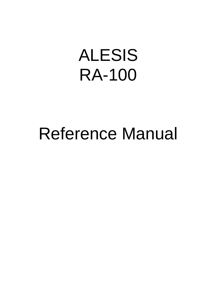# ALESIS RA-100

# Reference Manual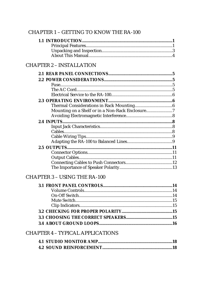#### **CHAPTER 1 - GETTING TO KNOW THE RA-100**

#### **CHAPTER 2 - INSTALLATION**

| Mounting on a Shelf or in a Non-Rack Enclosure |  |
|------------------------------------------------|--|
|                                                |  |
|                                                |  |
|                                                |  |
|                                                |  |
|                                                |  |
|                                                |  |
|                                                |  |
|                                                |  |
|                                                |  |
|                                                |  |
|                                                |  |

#### **CHAPTER 3 - USING THE RA-100**

#### **CHAPTER 4 - TYPICAL APPLICATIONS**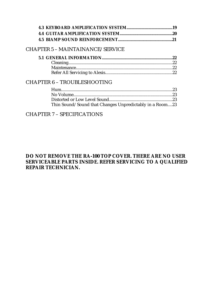#### CHAPTER 5 – MAINTAINANCE/SERVICE

#### CHAPTER 6 – TROUBLESHOOTING

| Thin Sound/Sound that Changes Unpredictably in a Room23 |  |
|---------------------------------------------------------|--|

#### CHAPTER 7 – SPECIFICATIONS

#### **DO NOT REMOVE THE RA-100 TOP COVER. THERE ARE NO USER SERVICEABLE PARTS INSIDE. REFER SERVICING TO A QUALIFIED REPAIR TECHNICIAN.**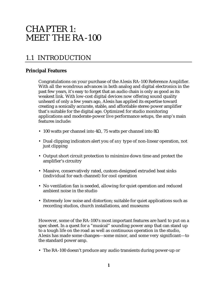# CHAPTER 1: MEET THE RA-100

# 1.1 INTRODUCTION

#### **Principal Features**

Congratulations on your purchase of the Alesis RA-100 Reference Amplifier. With all the wondrous advances in both analog and digital electronics in the past few years, it's easy to forget that an audio chain is only as good as its weakest link. With low-cost digital devices now offering sound quality unheard of only a few years ago, Alesis has applied its expertise toward creating a sonically accurate, stable, and affordable stereo power amplifier that's suitable for the digital age. Optimized for studio monitoring applications and moderate-power live performance setups, the amp's main features include:

- 100 watts per channel into 4 $\Omega$ , 75 watts per channel into 8 $\Omega$
- Dual clipping indicators alert you of *any* type of non-linear operation, not just clipping
- Output short circuit protection to minimize down time and protect the amplifier's circuitry
- Massive, conservatively rated, custom-designed extruded heat sinks (individual for each channel) for cool operation
- No ventilation fan is needed, allowing for quiet operation and reduced ambient noise in the studio
- Extremely low noise and distortion; suitable for quiet applications such as recording studios, church installations, and museums

However, some of the RA-100's most important features are hard to put on a spec sheet. In a quest for a "musical" sounding power amp that can stand up to a tough life on the road as well as continuous operation in the studio, Alesis has made some changes—some minor, and some very significant—to the standard power amp.

• The RA-100 doesn't produce any audio transients during power-up or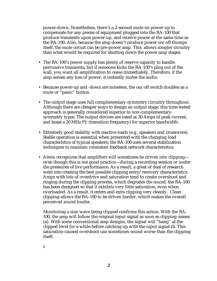power-down. Nonetheless, there's a 2-second mute on power-up to compensate for any pieces of equipment plugged into the RA-100 that produce transients upon power-up, and receive power at the same time as the RA-100. Also, because the amp doesn't produce power on/off thumps itself, the mute circuit can be pre-power amp. This allows simpler circuitry than what would be required for shutting down the power amp stages.

- The RA-100's power supply has plenty of reserve capacity to handle percussive transients, but if someone kicks the RA-100's plug out of the wall, you want all amplification to cease immediately. Therefore, if the amp senses any loss of power, it instantly mutes the audio.
- Because power-up and -down are noiseless, the on/off switch doubles as a mute or "panic" button.
- The output stage uses full complementary-symmetry circuitry throughout. Although there are cheaper ways to design an output stage, this time-tested approach is generally considered superior to non-complementarysymmetry types. The output devices are rated at 30 Amps of peak current, and boast a 20 MHz FT (transition frequency) for superior bandwidth.
- Extremely good stability with reactive loads (e.g., speakers and crossovers). Stable operation is essential when presented with the changing load characteristics of typical speakers; the RA-100 uses several stabilization techniques to maintain consistent feedback network characteristics.
- Alesis recognizes that amplifiers will sometimes be driven into clipping even though this is not good practice—during a recording session or under the pressures of live performance. As a result, a great of deal of research went into creating the best possible clipping entry/recovery characteristics. Amps with lots of overdrive and saturation tend to create overshoot and ringing during the clipping process, which degrades the sound; the RA-100 has been designed so that it exhibits very little saturation, even when overloaded. As a result, it enters and exits clipping very cleanly. Clean clipping allows the RA-100 to be driven harder, which makes the overall perceived sound louder.

Monitoring a sine wave being clipped confirms this action. With the RA-100, the amp will follow the original input signal as soon as clipping ceases (a). With some conventional amp designs, the signal will "hang" at the clipped level for a while before catching up with the input signal (b. This saturation-caused overshoot can sometimes sound worse than the clipping itself.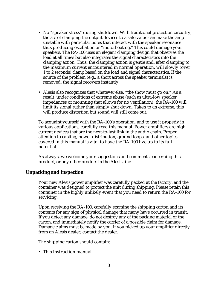- No "speaker stress" during shutdown. With traditional protection circuitry, the act of clamping the output devices to a safe value can make the amp unstable with particular notes that interact with the speaker resonance, thus producing oscillation or "motorboating." This could damage your speakers. The RA-100 uses an elegant clamping design that observes the load at all times but also integrates the signal characteristics into the clamping action. Thus, the clamping action is gentle and, after clamping to the maximum current encountered in normal operation, will slowly (over 1 to 2 seconds) clamp based on the load and signal characteristics. If the source of the problem (e.g., a short across the speaker terminals) is removed, the signal recovers instantly.
- Alesis also recognizes that whatever else, "the show must go on." As a result, under conditions of extreme abuse (such as ultra-low speaker impedances or mounting that allows for no ventilation), the RA-100 will limit its signal rather than simply shut down. Taken to an extreme, this will produce distortion but sound will still come out.

To acquaint yourself with the RA-100's operation, and to use it properly in various applications, carefully read this manual. Power amplifiers are highcurrent devices that are the next-to-last link in the audio chain. Proper attention to cabling, power distribution, ground loops, and other topics covered in this manual is vital to have the RA-100 live up to its full potential.

As always, we welcome your suggestions and comments concerning this product, or any other product in the Alesis line.

#### **Unpacking and Inspection**

Your new Alesis power amplifier was carefully packed at the factory, and the container was designed to protect the unit during shipping. Please retain this container in the highly unlikely event that you need to return the RA-100 for servicing.

Upon receiving the RA-100, carefully examine the shipping carton and its contents for any sign of physical damage that many have occurred in transit. If you detect any damage, do not destroy any of the packing material or the carton, and immediately notify the carrier of a possible claim for damage. Damage claims must be made by you. If you picked up your amplifier directly from an Alesis dealer, contact the dealer.

The shipping carton should contain:

• This instruction manual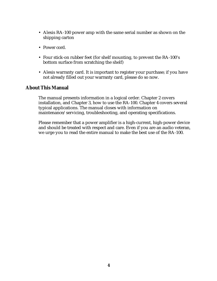- Alesis RA-100 power amp with the same serial number as shown on the shipping carton
- Power cord.
- Four stick-on rubber feet (for shelf mounting, to prevent the RA-100's bottom surface from scratching the shelf)
- Alesis warranty card. It is important to register your purchase; if you have not already filled out your warranty card, please do so now.

#### **About This Manual**

The manual presents information in a logical order. Chapter 2 covers installation, and Chapter 3, how to use the RA-100. Chapter 4 covers several typical applications. The manual closes with information on maintenance/servicing, troubleshooting, and operating specifications.

Please remember that a power amplifier is a high-current, high-power device and should be treated with respect and care. Even if you are an audio veteran, we urge you to read the entire manual to make the best use of the RA-100.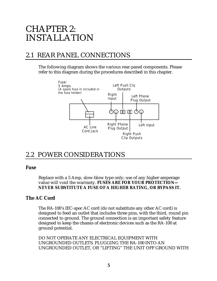# CHAPTER 2: INSTALLATION

## 2.1 REAR PANEL CONNECTIONS

The following diagram shows the various rear-panel components. Please refer to this diagram during the procedures described in this chapter.



### 2.2 POWER CONSIDERATIONS

#### **Fuse**

Replace with a 5 Amp, slow-blow type only; use of any higher amperage value will void the warranty. **FUSES ARE FOR YOUR PROTECTION—** *NEVER* **SUBSTITUTE A FUSE OF A HIGHER RATING, OR BYPASS IT.**

#### **The AC Cord**

The RA-100's IEC-spec AC cord (do not substitute any other AC cord) is designed to feed an outlet that includes three pins, with the third, round pin connected to ground. The ground connection is an important safety feature designed to keep the chassis of electronic devices such as the RA-100 at ground potential.

DO NOT OPERATE ANY ELECTRICAL EQUIPMENT WITH UNGROUNDED OUTLETS. PLUGGING THE RA-100 INTO AN UNGROUNDED OUTLET, OR "LIFTING" THE UNIT OFF GROUND WITH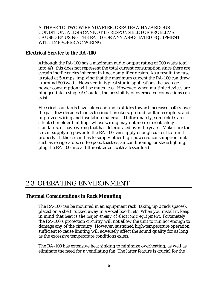A THREE-TO-TWO WIRE ADAPTER, CREATES A HAZARDOUS CONDITION. ALESIS CANNOT BE RESPONSIBLE FOR PROBLEMS CAUSED BY USING THE RA-100 OR ANY ASSOCIATED EQUIPMENT WITH IMPROPER AC WIRING.

#### **Electrical Service to the RA-100**

Although the RA-100 has a maximum audio output rating of 200 watts total into 4Ω, this does not represent the total current consumption since there are certain inefficiencies inherent in linear amplifier design. As a result, the fuse is rated at 5 Amps, implying that the maximum current the RA-100 can draw is around 500 watts. However, in typical studio applications the average power consumption will be much less. However, when multiple devices are plugged into a single AC outlet, the possibility of overheated connections can exist.

Electrical standards have taken enormous strides toward increased safety over the past few decades thanks to circuit breakers, ground fault interrupters, and improved wiring and insulation materials. Unfortunately, some clubs are situated in older buildings whose wiring may not meet current safety standards, or have wiring that has deteriorated over the years. Make sure the circuit supplying power to the RA-100 can supply enough current to run it properly. If the circuit has to supply other high-powered consumption units such as refrigerators, coffee pots, toasters, air conditioning, or stage lighting, plug the RA-100 into a different circuit with a lesser load.

### 2.3 OPERATING ENVIRONMENT

#### **Thermal Considerations in Rack Mounting**

The RA-100 can be mounted in an equipment rack (taking up 2 rack spaces), placed on a shelf, tucked away in a vocal booth, etc. When you install it, keep in mind that *heat is the major enemy of electronic equipment.* Fortunately, the RA-100's protection circuitry will not allow the unit to run hot enough to damage any of the circuitry. However, sustained high-temperature operation sufficient to cause limiting will adversely affect the sound quality for as long as the excessive temperature conditions exists.

The RA-100 has extensive heat sinking to minimize overheating, as well as eliminate the need for a ventilating fan. The latter feature is crucial for the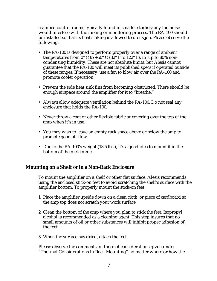cramped control rooms typically found in smaller studios; any fan noise would interfere with the mixing or monitoring process. The RA-100 should be installed so that its heat sinking is allowed to do its job. Please observe the following:

- The RA-100 is designed to perform properly over a range of ambient temperatures from  $0^{\circ}$  C to +50° C (32° F to 122° F), in up to 80% noncondensing humidity. These are not absolute limits, but Alesis cannot guarantee that the RA-100 will meet its published specs if operated outside of these ranges. If necessary, use a fan to blow air over the RA-100 and promote cooler operation.
- Prevent the side heat sink fins from becoming obstructed. There should be enough airspace around the amplifier for it to "breathe."
- Always allow adequate ventilation behind the RA-100. Do not seal any enclosure that holds the RA-100.
- Never throw a coat or other flexible fabric or covering over the top of the amp when it's in use.
- You may wish to leave an empty rack space above or below the amp to promote good air flow.
- Due to the RA-100's weight (13.5 lbs.), it's a good idea to mount it in the bottom of the rack frame.

#### **Mounting on a Shelf or in a Non-Rack Enclosure**

To mount the amplifier on a shelf or other flat surface, Alesis recommends using the enclosed stick-on feet to avoid scratching the shelf's surface with the amplifier bottom. To properly mount the stick-on feet:

- **1** Place the amplifier upside down on a clean cloth or piece of cardboard so the amp top does not scratch your work surface.
- **2** Clean the bottom of the amp where you plan to stick the feet. Isopropyl alcohol is recommended as a cleaning agent. This step insures that no small amounts of oil or other substances will inhibit proper adhesion of the feet.
- **3** When the surface has dried, attach the feet.

Please observe the comments on thermal considerations given under "Thermal Considerations in Rack Mounting" no matter where or how the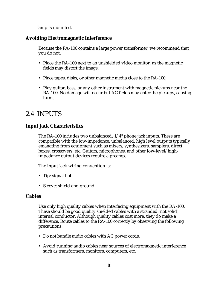amp is mounted.

#### **Avoiding Electromagnetic Interference**

Because the RA-100 contains a large power transformer, we recommend that you do not:

- Place the RA-100 next to an unshielded video monitor, as the magnetic fields may distort the image.
- Place tapes, disks, or other magnetic media close to the RA-100.
- Play guitar, bass, or any other instrument with magnetic pickups near the RA-100. No damage will occur but AC fields may enter the pickups, causing hum.

### 2.4 INPUTS

#### **Input Jack Characteristics**

The RA-100 includes two unbalanced, 1/4" phone jack inputs. These are compatible with the low-impedance, unbalanced, high level outputs typically emanating from equipment such as mixers, synthesizers, samplers, direct boxes, crossovers, etc. Guitars, microphones, and other low-level/highimpedance output devices require a preamp.

The input jack wiring convention is:

- Tip: signal hot
- Sleeve: shield and ground

#### **Cables**

Use only high quality cables when interfacing equipment with the RA-100. These should be good quality shielded cables with a stranded (not solid) internal conductor. Although quality cables cost more, they do make a difference. Route cables to the RA-100 correctly by observing the following precautions.

- Do not bundle audio cables with AC power cords.
- Avoid running audio cables near sources of electromagnetic interference such as transformers, monitors, computers, etc.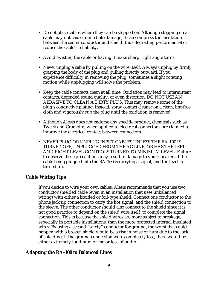- Do not place cables where they can be stepped on. Although stepping on a cable may not cause immediate damage, it can compress the insulation between the center conductor and shield (thus degrading performance) or reduce the cable's reliability.
- Avoid twisting the cable or having it make sharp, right angle turns.
- Never unplug a cable by pulling on the wire itself. Always unplug by firmly grasping the body of the plug and pulling directly outward. If you experience difficulty in removing the plug, sometimes a slight rotating motion while unplugging will solve the problem.
- Keep the cable contacts clean at all time. Oxidation may lead to intermittent contacts, degraded sound quality, or even distortion. DO NOT USE AN ABRASIVE TO CLEAN A DIRTY PLUG. This may remove some of the plug's conductive plating. Instead, spray contact cleaner on a clean, lint-free cloth and vigorously rub the plug until the oxidation is removed.
- Although Alesis does not endorse any specific product, chemicals such as Tweek and Cramolin, when applied to electrical connectors, are claimed to improve the electrical contact between connectors.
- NEVER PLUG OR UNPLUG INPUT CABLES UNLESS THE RA-100 IS TURNED OFF, UNPLUGGED FROM THE AC LINE, OR HAS THE LEFT AND RIGHT LEVEL CONTROLS TURNED TO MINIMUM LEVEL. Failure to observe these precautions may result in damage to your speakers if the cable being plugged into the RA-100 is carrying a signal, and the level is turned up.

#### **Cable Wiring Tips**

If you decide to wire your own cables, Alesis recommends that you use two conductor shielded cable (even in an installation that uses unbalanced wiring) with either a braided or foil-type shield. Connect one conductor to the phone jack tip connection to carry the hot signal, and the shield connection to the sleeve. The other conductor should also connect to the shield since it is not good practice to depend on the shield wire itself to complete the signal connection. This is because the shield wires are more subject to breakage, especially in portable installations, than the more protected internal insulated wires. By using a second "safety" conductor for ground, the worst that could happen with a broken shield would be a rise in noise or hum due to the lack of shielding. If the ground connection were completely lost, there would be either extremely loud hum or major loss of audio.

#### **Adapting the RA-100 to Balanced Lines**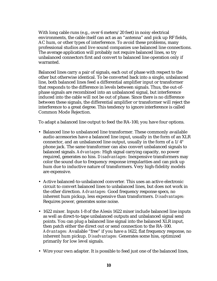With long cable runs (e.g., over 6 meters/20 feet) in noisy electrical environments, the cable itself can act as an "antenna" and pick up RF fields, AC hum, or other types of interference. To avoid these problems, many professional studios and live sound companies use balanced line connections. The average application will probably not require balanced lines, so try unbalanced connectors first and convert to balanced line operation only if warranted.

Balanced lines carry a pair of signals, each out of phase with respect to the other but otherwise identical. To be converted back into a single, unbalanced line, both balanced lines feed a differential amplifier input or transformer that responds to the difference in levels between signals. Thus, the out-ofphase signals are recombined into an unbalanced signal, but interference induced into the cable will not be out of phase. Since there is no difference between these signals, the differential amplifier or transformer will reject the interference to a great degree. This tendency to ignore interference is called Common Mode Rejection.

To adapt a balanced line output to feed the RA-100, you have four options.

- Balanced line to unbalanced line transformer. These commonly available audio accessories have a balanced line input, usually in the form of an XLR connector, and an unbalanced line output, usually in the form of a 1/4" phone jack. The same transformer can also convert unbalanced signals to balanced signals. *Advantages:* High signal carrying capacity, no power required, generates no hiss. *Disadvantages:* Inexpensive transformers may color the sound due to frequency response irregularities and can pick up hum due to inductive nature of transformers. Very high-fidelity models are expensive.
- Active balanced-to-unbalanced converter. This uses an active electronic circuit to convert balanced lines to unbalanced lines, but does not work in the other direction. *Advantages:* Good frequency response specs, no inherent hum pickup, less expensive than transformers. *Disadvantages:* Requires power, generates some noise.
- 1622 mixer. Inputs 1-8 of the Alesis 1622 mixer include balanced line inputs as well as direct-to-tape unbalanced outputs and unbalanced signal send points. You can plug a balanced line signal into the balanced XLR input, then patch either the direct out or send connection to the RA-100. *Advantages:* Available "free" if you have a 1622, flat frequency response, no inherent hum pickup. *Disadvantages:* Generates some hiss, optimized primarily for low level signals.
- Wire your own adapter. It is possible to feed just one of the balanced lines,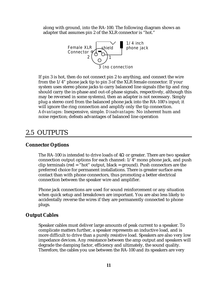along with ground, into the RA-100. The following diagram shows an adapter that assumes pin 2 of the XLR connector is "hot."



If pin 3 is hot, then do not connect pin 2 to anything, and connect the wire from the 1/4" phone jack tip to pin 3 of the XLR female connector. If your system uses stereo phone jacks to carry balanced line signals (the tip and ring should carry the in-phase and out-of-phase signals, respectively, although this may be reversed in some systems), then an adapter is not necessary. Simply plug a stereo cord from the balanced phone jack into the RA-100's input; it will ignore the ring connection and amplify only the tip connection. *Advantages:* Inexpensive, simple. *Disadvantages:* No inherent hum and noise rejection; defeats advantages of balanced line operation

# 2.5 OUTPUTS

#### **Connector Options**

The RA-100 is intended to drive loads of  $4\Omega$  or greater. There are two speaker connection output options for each channel: 1/4" mono phone jack, and push clip terminals (red  $=$  "hot" output, black  $=$  ground). Push connectors are the preferred choice for permanent installations. There is greater surface area contact than with phone connectors, thus promoting a better electrical connection between the speaker wire and amplifier.

Phone jack connections are used for sound reinforcement or any situation when quick setup and breakdown are important. You are also less likely to accidentally reverse the wires if they are permanently connected to phone plugs.

#### **Output Cables**

Speaker cables must deliver large amounts of peak current to a speaker. To complicate matters further, a speaker represents an inductive load, and is more difficult to drive than a purely resistive load. Speakers are also very low impedance devices. Any resistance between the amp output and speakers will degrade the damping factor, efficiency and ultimately, the sound quality. Therefore, the cables you use between the RA-100 and its speakers are very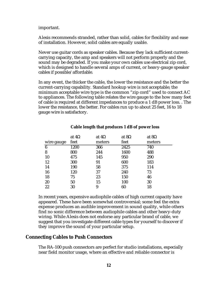#### important.

Alesis recommends stranded, rather than solid, cables for flexibility and ease of installation. However, solid cables are equally usable.

Never use guitar cords as speaker cables. Because they lack sufficient currentcarrying capacity, the amp and speakers will not perform properly and the sound may be degraded. If you make your own cables use electrical zip cord, which is designed to handle several amps of current, or heavy-gauge speaker cables if possible/affordable.

In any event, the thicker the cable, the lower the resistance and the better the current-carrying capability. Standard hookup wire is not acceptable; the minimum acceptable wire type is the common "zip cord" used to connect AC to appliances. The following table relates the wire gauge to the how many feet of cable is required at different impedances to produce a 1 dB power loss. . The lower the resistance, the better. For cables run up to about 25 feet, 16 to 18 gauge wire is satisfactory.

|            | at $4\Omega$ | at $4\Omega$ | at $8\Omega$ | at $8\Omega$ |
|------------|--------------|--------------|--------------|--------------|
| wire gauge | feet         | meters       | feet         | meters       |
| 6          | 1200         | 366          | 2425         | 740          |
| 8          | 800          | 244          | 1600         | 488          |
| 10         | 475          | 145          | 950          | 290          |
| 12         | 300          | 91           | 600          | 183          |
| 14         | 190          | 58           | 375          | 114          |
| 16         | 120          | 37           | 240          | 73           |
| 18         | 75           | 23           | 150          | 46           |
| 20         | 50           | 15           | 100          | 30           |
| 22         | 30           | 9            | 60           | 18           |

#### **Cable length that produces 1 dB of power loss**

In recent years, expensive audiophile cables of high current capacity have appeared. These have been somewhat controversial; some feel the extra expense produces an audible improvement in sound quality, while others find no sonic difference between audiophile cables and other heavy-duty wiring. While Alesis does not endorse any particular brand of cable, we suggest that you investigate different cable types for yourself to discover if they improve the sound of your particular setup.

#### **Connecting Cables to Push Connectors**

The RA-100 push connectors are perfect for studio installations, especially near field monitor usage, where an effective and reliable connector is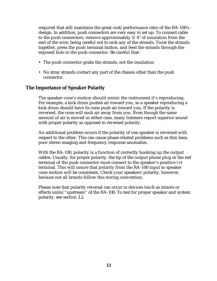required that still maintains the great cost/performance ratio of the RA-100's design. In addition, push connectors are very easy to set up. To connect cable to the push connectors, remove approximately  $1/4$ " of insulation from the end of the wire, being careful not to nick any of the strands. Twist the strands together, press the push terminal button, and feed the strands through the exposed hole in the push connector. Be careful that:

- The push connector grabs the strands, not the insulation
- No stray strands contact any part of the chassis other than the push connector.

#### **The Importance of Speaker Polarity**

The speaker cone's motion should mimic the instrument it's reproducing. For example, a kick drum pushes air toward you, so a speaker reproducing a kick drum should have its cone push air toward you. If the polarity is reversed, the cone will suck air away from you. Even though the same amount of air is moved in either case, many listeners report superior sound with proper polarity as opposed to reversed polarity.

An additional problem occurs if the polarity of one speaker is reversed with respect to the other. This can cause phase-related problems such as thin bass, poor stereo imaging and frequency response anomalies.

With the RA-100, polarity is a function of correctly hooking up the output cables. Usually, for proper polarity, the tip of the output phone plug or the red terminal of the push connector must connect to the speaker's positive (+) terminal. This will insure that polarity from the RA-100 input to speaker cone motion will be consistent. Check your speakers' polarity, however, because not all brands follow this wiring convention.

Please note that polarity reversal can occur in devices (such as mixers or effects units) "upstream" of the RA-100. To test for proper speaker and system polarity, see section 3.2.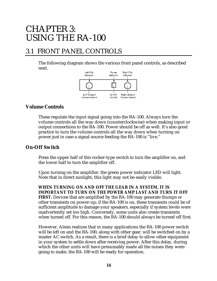# CHAPTER 3: USING THE RA-100

# 3.1 FRONT PANEL CONTROLS

The following diagram shows the various front panel controls, as described next.



#### **Volume Controls**

These regulate the input signal going into the RA-100. Always turn the volume controls all the way down (counterclockwise) when making input or output connections to the RA-100. Power should be off as well. It's also good practice to turn the volume controls all the way down when turning on power just in case a signal source feeding the RA-100 is "live."

#### **On-Off Switch**

Press the upper half of this rocker-type switch to turn the amplifier on, and the lower half to turn the amplifier off.

Upon turning on the amplifier, the green power indicator LED will light. Note that in direct sunlight, this light may not be easily visible.

**WHEN TURNING ON AND OFF THE GEAR IN A SYSTEM, IT IS IMPORTANT TO TURN ON THE POWER AMP LAST AND TURN IT OFF FIRST.** Devices that are amplified by the RA-100 may generate thumps or other transients on power-up; if the RA-100 is on, these transients could be of sufficient amplitude to damage your speakers, especially if system levels were inadvertently set too high. Conversely, some units also create transients when turned off. For this reason, the RA-100 should always be turned off first.

However, Alesis realizes that in many applications the RA-100 power switch will be left on and the RA-100, along with other gear, will be switched on by a master AC switch. As a result, there is a brief delay to allow other equipment in your system to settle down after receiving power. After this delay, during which the other units will have presumably made all the noises they were going to make, the RA-100 will be ready for operation.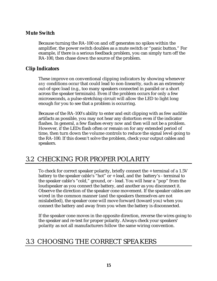#### **Mute Switch**

Because turning the RA-100 on and off generates no spikes within the amplifier, the power switch doubles as a mute switch or "panic button." For example, if there is a serious feedback problem, you can simply turn off the RA-100, then chase down the source of the problem.

#### **Clip Indicators**

These improve on conventional clipping indicators by showing whenever *any* conditions occur that could lead to non-linearity, such as an extremely out-of-spec load (e.g., too many speakers connected in parallel or a short across the speaker terminals). Even if the problem occurs for only a few microseconds, a pulse-stretching circuit will allow the LED to light long enough for you to see that a problem is occurring.

Because of the RA-100's ability to enter and exit clipping with as few audible artifacts as possible, you may not hear any distortion even if the indicator flashes. In general, a few flashes every now and then will not be a problem. However, if the LEDs flash often or remain on for any extended period of time, then turn down the volume controls to reduce the signal level going to the RA-100. If this doesn't solve the problem, check your output cables and speakers.

# 3.2 CHECKING FOR PROPER POLARITY

To check for correct speaker polarity, briefly connect the + terminal of a 1.5V battery to the speaker cable's "hot" or + lead, and the battery's - terminal to the speaker cable's "cold," ground, or - lead. You will hear a "pop" from the loudspeaker as you connect the battery, and another as you disconnect it. Observe the direction of the speaker cone movement. If the speaker cables are wired in the common manner (and the speakers themselves are not mislabelled), the speaker cone will move forward (toward you) when you connect the battery and away from you when the battery is disconnected.

If the speaker cone moves in the opposite direction, reverse the wires going to the speaker and re-test for proper polarity. Always check your speakers' polarity as not all manufacturers follow the same wiring convention.

## 3.3 CHOOSING THE CORRECT SPEAKERS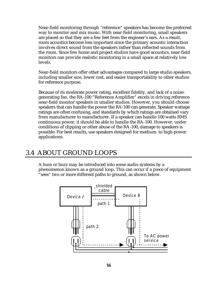Near-field monitoring through "reference" speakers has become the preferred way to monitor and mix music. With near-field monitoring, small speakers are placed so that they are a few feet from the engineer's ears. As a result, room acoustics become less important since the primary acoustic interaction involves direct sound from the speakers rather than reflected sounds from the room. Since few home and project studios have good acoustics, near-field monitors can provide realistic monitoring in a small space at relatively low levels.

Near-field monitors offer other advantages compared to large studio speakers, including smaller size, lower cost, and easier transportability to other studios for reference purpose.

Because of its moderate power rating, excellent fidelity, and lack of a noisegenerating fan, the RA-100 "Reference Amplifier" excels in driving reference near-field monitor speakers in smaller studios. However, you should choose speakers that can handle the power the RA-100 can generate. Speaker wattage ratings are often confusing, and standards by which ratings are obtained vary from manufacturer to manufacturer. If a speaker can handle 100 watts RMS continuous power, it should be able to handle the RA-100. However, under conditions of clipping or other abuse of the RA-100, damage to speakers is possible. For best results, use speakers designed for medium- to high-power applications.

## 3.4 ABOUT GROUND LOOPS

A hum or buzz may be introduced into some audio systems by a phenomenon known as a ground loop. This can occur if a piece of equipment "sees" two or more different paths to ground, as shown below.

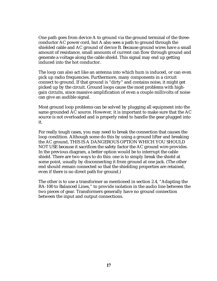One path goes from device A to ground via the ground terminal of the threeconductor AC power cord, but A also sees a path to ground through the shielded cable and AC ground of device B. Because ground wires have a small amount of resistance, small amounts of current can flow through ground and generate a voltage along the cable shield. This signal may end up getting induced into the hot conductor.

The loop can also act like an antenna into which hum is induced, or can even pick up radio frequencies. Furthermore, many components in a circuit connect to ground. If that ground is "dirty" and contains noise, it might get picked up by the circuit. Ground loops cause the most problems with highgain circuits, since massive amplification of even a couple millivolts of noise can give an audible signal.

Most ground loop problems can be solved by plugging all equipment into the same grounded AC source. However, it is important to make sure that the AC source is not overloaded and is properly rated to handle the gear plugged into it.

For really tough cases, you may need to break the connection that causes the loop condition. Although some do this by using a ground lifter and breaking the AC ground, THIS IS A DANGEROUS OPTION WHICH YOU SHOULD NOT USE because it sacrifices the safety factor the AC ground wire provides. In the previous diagram, a better option would be to interrupt the cable shield. There are two ways to do this: one is to simply break the shield at some point, usually by disconnecting it from ground at one jack. (The other end should remain connected so that the shielding properties are retained, even if there is no direct path for ground.)

The other is to use a transformer as mentioned in section 2.4, "Adapting the RA-100 to Balanced Lines," to provide isolation in the audio line between the two pieces of gear. Transformers generally have no ground connection between the input and output connections.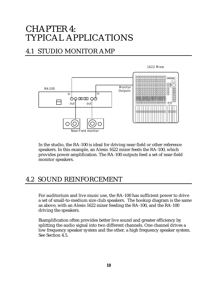# CHAPTER 4: TYPICAL APPLICATIONS

# 4.1 STUDIO MONITOR AMP



In the studio, the RA-100 is ideal for driving near-field or other reference speakers. In this example, an Alesis 1622 mixer feeds the RA-100, which provides power amplification. The RA-100 outputs feed a set of near-field monitor speakers.

## 4.2 SOUND REINFORCEMENT

For auditorium and live music use, the RA-100 has sufficient power to drive a set of small-to-medium size club speakers. The hookup diagram is the same as above, with an Alesis 1622 mixer feeding the RA-100, and the RA-100 driving the speakers.

Biamplification often provides better live sound and greater efficiency by splitting the audio signal into two different channels. One channel drives a low frequency speaker system and the other, a high frequency speaker system. See Section 4.5.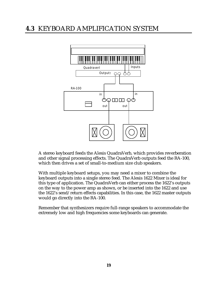# **4.3** KEYBOARD AMPLIFICATION SYSTEM



A stereo keyboard feeds the Alesis QuadraVerb, which provides reverberation and other signal processing effects. The QuadraVerb outputs feed the RA-100, which then drives a set of small-to-medium size club speakers.

With multiple keyboard setups, you may need a mixer to combine the keyboard outputs into a single stereo feed. The Alesis 1622 Mixer is ideal for this type of application. The QuadraVerb can either process the 1622's outputs on the way to the power amp as shown, or be inserted into the 1622 and use the 1622's send/return effects capabilities. In this case, the 1622 master outputs would go directly into the RA-100.

Remember that synthesizers require full-range speakers to accommodate the extremely low and high frequencies some keyboards can generate.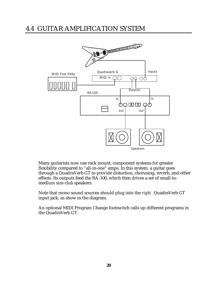# 4.4 GUITAR AMPLIFICATION SYSTEM



Many guitarists now use rack mount, component systems for greater flexibility compared to "all-in-one" amps. In this system, a guitar goes through a QuadraVerb GT to provide distortion, chorusing, reverb, and other effects. Its outputs feed the RA-100, which then drives a set of small-tomedium size club speakers.

Note that mono sound sources should plug into the *right* QuadraVerb GT input jack, as show in the diagram.

An optional MIDI Program Change footswitch calls up different programs in the QuadraVerb GT.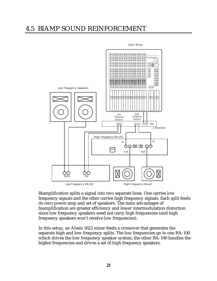### 4.5 BIAMP SOUND REINFORCEMENT



Biamplification splits a signal into two separate lines. One carries low frequency signals and the other carries high frequency signals. Each split feeds its own power amp and set of speakers. The main advantages of biamplification are greater efficiency and lower intermodulation distortion since low frequency speakers need not carry high frequencies (and high frequency speakers won't receive low frequencies).

In this setup, an Alesis 1622 mixer feeds a crossover that generates the separate high and low frequency splits. The low frequencies go to one RA-100 which drives the low frequency speaker system; the other RA-100 handles the higher frequencies and drives a set of high frequency speakers.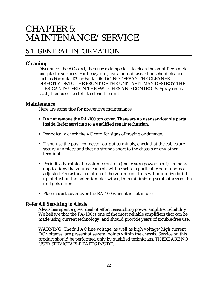# CHAPTER 5: MAINTENANCE/SERVICE

# 5.1 GENERAL INFORMATION

#### **Cleaning**

Disconnect the AC cord, then use a damp cloth to clean the amplifier's metal and plastic surfaces. For heavy dirt, use a non-abrasive household cleaner such as Formula 409 or Fantastik. DO NOT SPRAY THE CLEANER DIRECTLY ONTO THE FRONT OF THE UNIT AS IT MAY DESTROY THE LUBRICANTS USED IN THE SWITCHES AND CONTROLS! Spray onto a cloth, then use the cloth to clean the unit.

#### **Maintenance**

Here are some tips for preventive maintenance.

- **Do not remove the RA-100 top cover. There are no user serviceable parts inside. Refer servicing to a qualified repair technician.**
- Periodically check the AC cord for signs of fraying or damage.
- If you use the push connector output terminals, check that the cables are securely in place and that no strands short to the chassis or any other terminal.
- Periodically rotate the volume controls (make sure power is off). In many applications the volume controls will be set to a particular point and not adjusted. Occasional rotation of the volume controls will minimize buildup of dust on the potentiometer wiper, thus minimizing scratchiness as the unit gets older.
- Place a dust cover over the RA-100 when it is not in use.

#### **Refer All Servicing to Alesis**

Alesis has spent a great deal of effort researching power amplifier reliability. We believe that the RA-100 is one of the most reliable amplifiers that can be made using current technology, and should provide years of trouble-free use.

WARNING: The full AC line voltage, as well as high voltage/high current DC voltages, are present at several points within the chassis. Service on this product should be performed only by qualified technicians. THERE ARE NO USER-SERVICEABLE PARTS INSIDE.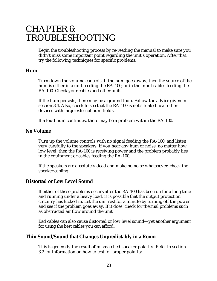# CHAPTER 6: TROUBLESHOOTING

Begin the troubleshooting process by re-reading the manual to make sure you didn't miss some important point regarding the unit's operation. After that, try the following techniques for specific problems.

#### **Hum**

Turn down the volume controls. If the hum goes away, then the source of the hum is either in a unit feeding the RA-100, or in the input cables feeding the RA-100. Check your cables and other units.

If the hum persists, there may be a ground loop. Follow the advice given in section 3.4. Also, check to see that the RA-100 is not situated near other devices with large external hum fields.

If a loud hum continues, there may be a problem within the RA-100.

#### **No Volume**

Turn up the volume controls with no signal feeding the RA-100, and listen very carefully to the speakers. If you hear any hum or noise, no matter how low level, then the RA-100 is receiving power and the problem probably lies in the equipment or cables feeding the RA-100.

If the speakers are absolutely dead and make no noise whatsoever, check the speaker cabling.

#### **Distorted or Low Level Sound**

If either of these problems occurs after the RA-100 has been on for a long time and running under a heavy load, it is possible that the output protection circuitry has kicked in. Let the unit rest for a minute by turning off the power and see if the problem goes away. If it does, check for thermal problems such as obstructed air flow around the unit.

Bad cables can also cause distorted or low level sound—yet another argument for using the best cables you can afford.

#### **Thin Sound/Sound that Changes Unpredictably in a Room**

This is generally the result of mismatched speaker polarity. Refer to section 3.2 for information on how to test for proper polarity.